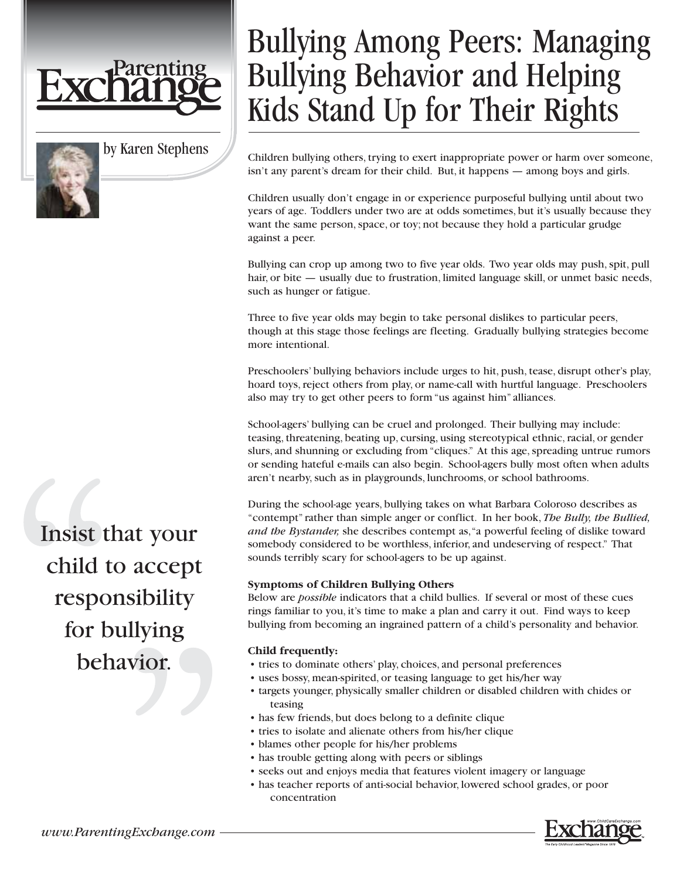



# Bullying Among Peers: Managing Bullying Behavior and Helping Kids Stand Up for Their Rights

Children bullying others, trying to exert inappropriate power or harm over someone, isn't any parent's dream for their child. But, it happens — among boys and girls.

Children usually don't engage in or experience purposeful bullying until about two years of age. Toddlers under two are at odds sometimes, but it's usually because they want the same person, space, or toy; not because they hold a particular grudge against a peer.

Bullying can crop up among two to five year olds. Two year olds may push, spit, pull hair, or bite — usually due to frustration, limited language skill, or unmet basic needs, such as hunger or fatigue.

Three to five year olds may begin to take personal dislikes to particular peers, though at this stage those feelings are fleeting. Gradually bullying strategies become more intentional.

Preschoolers' bullying behaviors include urges to hit, push, tease, disrupt other's play, hoard toys, reject others from play, or name-call with hurtful language. Preschoolers also may try to get other peers to form "us against him" alliances.

School-agers' bullying can be cruel and prolonged. Their bullying may include: teasing, threatening, beating up, cursing, using stereotypical ethnic, racial, or gender slurs, and shunning or excluding from "cliques." At this age, spreading untrue rumors or sending hateful e-mails can also begin. School-agers bully most often when adults aren't nearby, such as in playgrounds, lunchrooms, or school bathrooms.

During the school-age years, bullying takes on what Barbara Coloroso describes as "contempt" rather than simple anger or conflict. In her book, *The Bully, the Bullied, and the Bystander,* she describes contempt as,"a powerful feeling of dislike toward somebody considered to be worthless, inferior, and undeserving of respect." That sounds terribly scary for school-agers to be up against.

# **Symptoms of Children Bullying Others**

Below are *possible* indicators that a child bullies. If several or most of these cues rings familiar to you, it's time to make a plan and carry it out. Find ways to keep bullying from becoming an ingrained pattern of a child's personality and behavior.

# **Child frequently:**

- tries to dominate others' play, choices, and personal preferences
- uses bossy, mean-spirited, or teasing language to get his/her way
- targets younger, physically smaller children or disabled children with chides or teasing
- has few friends, but does belong to a definite clique
- tries to isolate and alienate others from his/her clique
- blames other people for his/her problems
- has trouble getting along with peers or siblings
- seeks out and enjoys media that features violent imagery or language
- has teacher reports of anti-social behavior, lowered school grades, or poor concentration

Insist that your child to accept responsibility for bullying behavior.

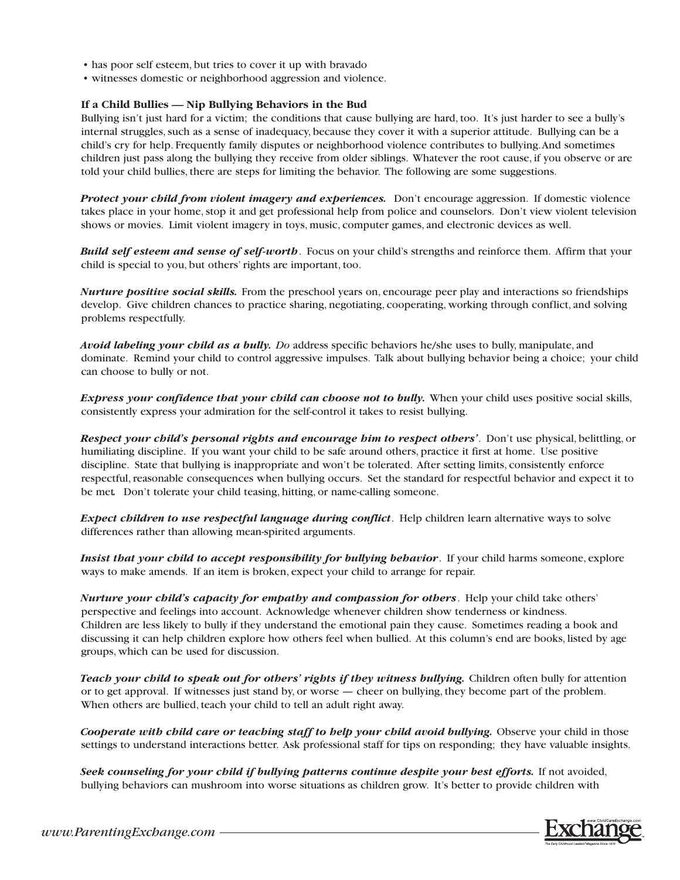- has poor self esteem, but tries to cover it up with bravado
- witnesses domestic or neighborhood aggression and violence.

#### **If a Child Bullies — Nip Bullying Behaviors in the Bud**

Bullying isn't just hard for a victim; the conditions that cause bullying are hard, too. It's just harder to see a bully's internal struggles, such as a sense of inadequacy, because they cover it with a superior attitude. Bullying can be a child's cry for help. Frequently family disputes or neighborhood violence contributes to bullying.And sometimes children just pass along the bullying they receive from older siblings. Whatever the root cause, if you observe or are told your child bullies, there are steps for limiting the behavior. The following are some suggestions.

*Protect your child from violent imagery and experiences.* Don't encourage aggression. If domestic violence takes place in your home, stop it and get professional help from police and counselors. Don't view violent television shows or movies. Limit violent imagery in toys, music, computer games, and electronic devices as well.

*Build self esteem and sense of self-worth*. Focus on your child's strengths and reinforce them. Affirm that your child is special to you, but others' rights are important, too.

*Nurture positive social skills.* From the preschool years on, encourage peer play and interactions so friendships develop. Give children chances to practice sharing, negotiating, cooperating, working through conflict, and solving problems respectfully.

*Avoid labeling your child as a bully. Do* address specific behaviors he/she uses to bully, manipulate, and dominate. Remind your child to control aggressive impulses. Talk about bullying behavior being a choice; your child can choose to bully or not.

*Express your confidence that your child can choose not to bully.* When your child uses positive social skills, consistently express your admiration for the self-control it takes to resist bullying.

*Respect your child's personal rights and encourage him to respect others'*. Don't use physical, belittling, or humiliating discipline. If you want your child to be safe around others, practice it first at home. Use positive discipline. State that bullying is inappropriate and won't be tolerated. After setting limits, consistently enforce respectful, reasonable consequences when bullying occurs. Set the standard for respectful behavior and expect it to be met*.* Don't tolerate your child teasing, hitting, or name-calling someone.

*Expect children to use respectful language during conflict*. Help children learn alternative ways to solve differences rather than allowing mean-spirited arguments.

*Insist that your child to accept responsibility for bullying behavior*. If your child harms someone, explore ways to make amends. If an item is broken, expect your child to arrange for repair.

*Nurture your child's capacity for empathy and compassion for others*. Help your child take others' perspective and feelings into account. Acknowledge whenever children show tenderness or kindness. Children are less likely to bully if they understand the emotional pain they cause. Sometimes reading a book and discussing it can help children explore how others feel when bullied. At this column's end are books, listed by age groups, which can be used for discussion.

*Teach your child to speak out for others' rights if they witness bullying.* Children often bully for attention or to get approval. If witnesses just stand by, or worse — cheer on bullying, they become part of the problem. When others are bullied, teach your child to tell an adult right away.

*Cooperate with child care or teaching staff to help your child avoid bullying.* Observe your child in those settings to understand interactions better. Ask professional staff for tips on responding; they have valuable insights.

Seek counseling for your child if bullying patterns continue despite your best efforts. If not avoided, bullying behaviors can mushroom into worse situations as children grow. It's better to provide children with

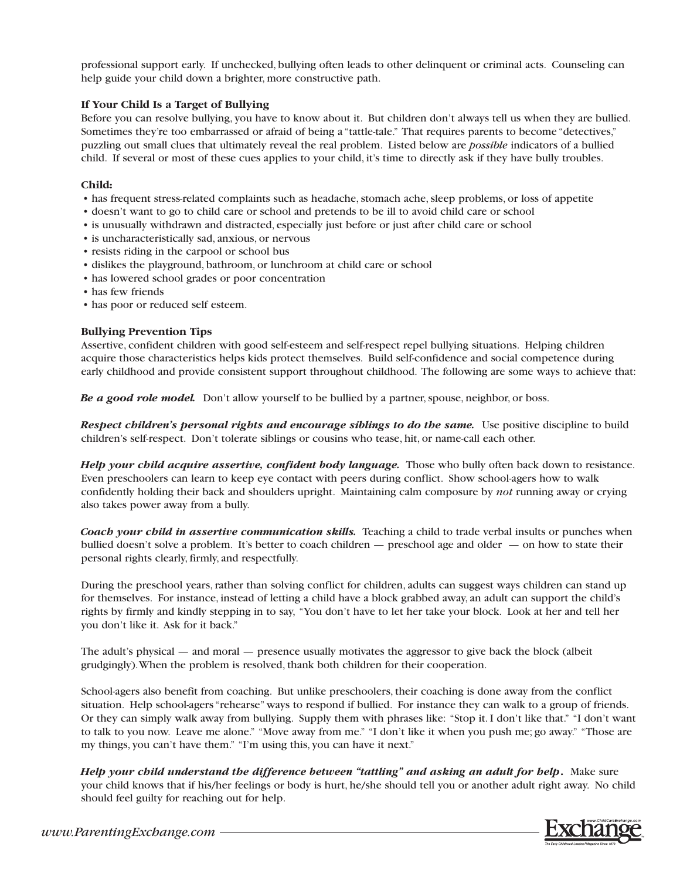professional support early. If unchecked, bullying often leads to other delinquent or criminal acts. Counseling can help guide your child down a brighter, more constructive path.

## **If Your Child Is a Target of Bullying**

Before you can resolve bullying, you have to know about it. But children don't always tell us when they are bullied. Sometimes they're too embarrassed or afraid of being a "tattle-tale." That requires parents to become "detectives," puzzling out small clues that ultimately reveal the real problem. Listed below are *possible* indicators of a bullied child. If several or most of these cues applies to your child, it's time to directly ask if they have bully troubles.

### **Child:**

- has frequent stress-related complaints such as headache, stomach ache, sleep problems, or loss of appetite
- doesn't want to go to child care or school and pretends to be ill to avoid child care or school
- is unusually withdrawn and distracted, especially just before or just after child care or school
- is uncharacteristically sad, anxious, or nervous
- resists riding in the carpool or school bus
- dislikes the playground, bathroom, or lunchroom at child care or school
- has lowered school grades or poor concentration
- has few friends
- has poor or reduced self esteem.

## **Bullying Prevention Tips**

Assertive, confident children with good self-esteem and self-respect repel bullying situations. Helping children acquire those characteristics helps kids protect themselves. Build self-confidence and social competence during early childhood and provide consistent support throughout childhood. The following are some ways to achieve that:

*Be a good role model.* Don't allow yourself to be bullied by a partner, spouse, neighbor, or boss.

*Respect children's personal rights and encourage siblings to do the same.* Use positive discipline to build children's self-respect. Don't tolerate siblings or cousins who tease, hit, or name-call each other.

*Help your child acquire assertive, confident body language. Those who bully often back down to resistance.* Even preschoolers can learn to keep eye contact with peers during conflict. Show school-agers how to walk confidently holding their back and shoulders upright. Maintaining calm composure by *not* running away or crying also takes power away from a bully.

*Coach your child in assertive communication skills.* Teaching a child to trade verbal insults or punches when bullied doesn't solve a problem. It's better to coach children — preschool age and older — on how to state their personal rights clearly, firmly, and respectfully.

During the preschool years, rather than solving conflict for children, adults can suggest ways children can stand up for themselves. For instance, instead of letting a child have a block grabbed away, an adult can support the child's rights by firmly and kindly stepping in to say, "You don't have to let her take your block. Look at her and tell her you don't like it. Ask for it back."

The adult's physical — and moral — presence usually motivates the aggressor to give back the block (albeit grudgingly).When the problem is resolved, thank both children for their cooperation.

School-agers also benefit from coaching. But unlike preschoolers, their coaching is done away from the conflict situation. Help school-agers "rehearse" ways to respond if bullied. For instance they can walk to a group of friends. Or they can simply walk away from bullying. Supply them with phrases like: "Stop it. I don't like that." "I don't want to talk to you now. Leave me alone." "Move away from me." "I don't like it when you push me; go away." "Those are my things, you can't have them." "I'm using this, you can have it next."

*Help your child understand the difference between "tattling" and asking an adult for help***.** Make sure your child knows that if his/her feelings or body is hurt, he/she should tell you or another adult right away. No child should feel guilty for reaching out for help.